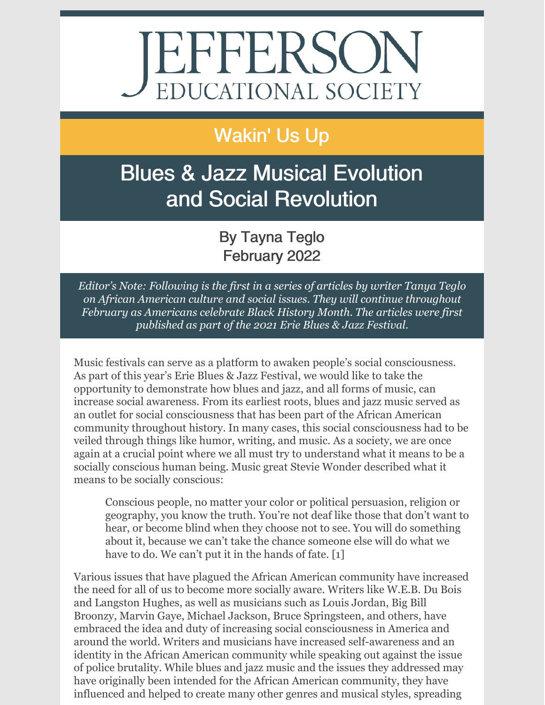# JEFFERSON

## Wakin' Us Up

# Blues & Jazz Musical Evolution and Social Revolution

#### By Tayna Teglo February 2022

*Editor's Note: Following is the first in a series of articles by writer Tanya Teglo on African American culture and social issues. They will continue throughout February as Americans celebrate Black History Month. The articles were first published as part of the 2021 Erie Blues & Jazz Festival.*

Music festivals can serve as a platform to awaken people's social consciousness. As part of this year's Erie Blues & Jazz Festival, we would like to take the opportunity to demonstrate how blues and jazz, and all forms of music, can increase social awareness. From its earliest roots, blues and jazz music served as an outlet for social consciousness that has been part of the African American community throughout history. In many cases, this social consciousness had to be veiled through things like humor, writing, and music. As a society, we are once again at a crucial point where we all must try to understand what it means to be a socially conscious human being. Music great Stevie Wonder described what it means to be socially conscious:

Conscious people, no matter your color or political persuasion, religion or geography, you know the truth. You're not deaf like those that don't want to hear, or become blind when they choose not to see. You will do something about it, because we can't take the chance someone else will do what we have to do. We can't put it in the hands of fate. [1]

Various issues that have plagued the African American community have increased the need for all of us to become more socially aware. Writers like W.E.B. Du Bois and Langston Hughes, as well as musicians such as Louis Jordan, Big Bill Broonzy, Marvin Gaye, Michael Jackson, Bruce Springsteen, and others, have embraced the idea and duty of increasing social consciousness in America and around the world. Writers and musicians have increased self-awareness and an identity in the African American community while speaking out against the issue of police brutality. While blues and jazz music and the issues they addressed may have originally been intended for the African American community, they have influenced and helped to create many other genres and musical styles, spreading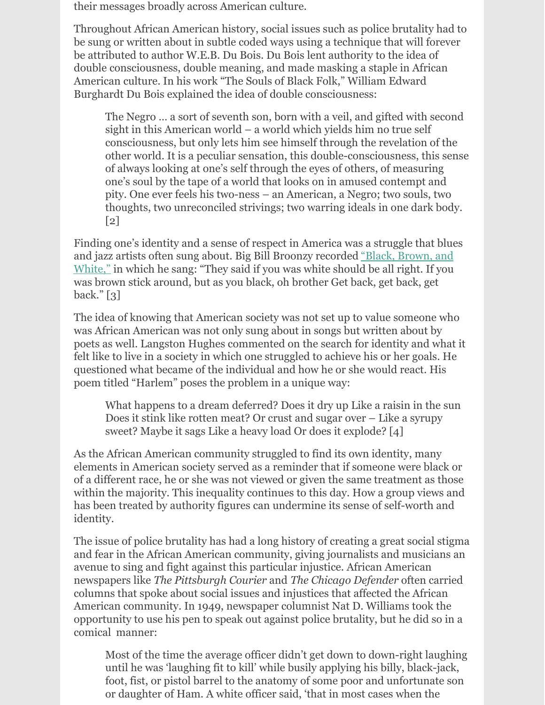their messages broadly across American culture.

Throughout African American history, social issues such as police brutality had to be sung or written about in subtle coded ways using a technique that will forever be attributed to author W.E.B. Du Bois. Du Bois lent authority to the idea of double consciousness, double meaning, and made masking a staple in African American culture. In his work "The Souls of Black Folk," William Edward Burghardt Du Bois explained the idea of double consciousness:

The Negro ... a sort of seventh son, born with a veil, and gifted with second sight in this American world – a world which yields him no true self consciousness, but only lets him see himself through the revelation of the other world. It is a peculiar sensation, this double-consciousness, this sense of always looking at one's self through the eyes of others, of measuring one's soul by the tape of a world that looks on in amused contempt and pity. One ever feels his two-ness – an American, a Negro; two souls, two thoughts, two unreconciled strivings; two warring ideals in one dark body.  $\lceil 2 \rceil$ 

Finding one's identity and a sense of respect in America was a struggle that blues and jazz artists often sung about. Big Bill Broonzy [recorded](https://www.youtube.com/watch?v=k0c1c0ZsTLA) "Black, Brown, and White," in which he sang: "They said if you was white should be all right. If you was brown stick around, but as you black, oh brother Get back, get back, get back." [3]

The idea of knowing that American society was not set up to value someone who was African American was not only sung about in songs but written about by poets as well. Langston Hughes commented on the search for identity and what it felt like to live in a society in which one struggled to achieve his or her goals. He questioned what became of the individual and how he or she would react. His poem titled "Harlem" poses the problem in a unique way:

What happens to a dream deferred? Does it dry up Like a raisin in the sun Does it stink like rotten meat? Or crust and sugar over – Like a syrupy sweet? Maybe it sags Like a heavy load Or does it explode?  $[4]$ 

As the African American community struggled to find its own identity, many elements in American society served as a reminder that if someone were black or of a different race, he or she was not viewed or given the same treatment as those within the majority. This inequality continues to this day. How a group views and has been treated by authority figures can undermine its sense of self-worth and identity.

The issue of police brutality has had a long history of creating a great social stigma and fear in the African American community, giving journalists and musicians an avenue to sing and fight against this particular injustice. African American newspapers like *The Pittsburgh Courier* and *The Chicago Defender* often carried columns that spoke about social issues and injustices that affected the African American community. In 1949, newspaper columnist Nat D. Williams took the opportunity to use his pen to speak out against police brutality, but he did so in a comical manner:

Most of the time the average officer didn't get down to down-right laughing until he was 'laughing fit to kill' while busily applying his billy, black-jack, foot, fist, or pistol barrel to the anatomy of some poor and unfortunate son or daughter of Ham. A white officer said, 'that in most cases when the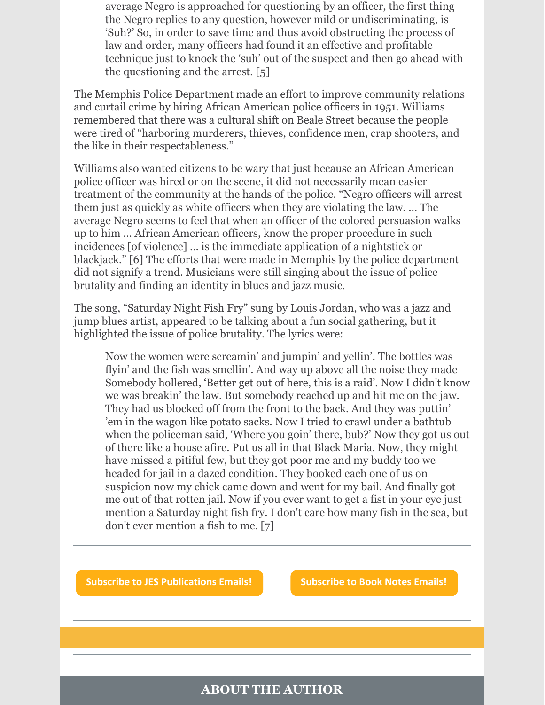average Negro is approached for questioning by an officer, the first thing the Negro replies to any question, however mild or undiscriminating, is 'Suh?' So, in order to save time and thus avoid obstructing the process of law and order, many officers had found it an effective and profitable technique just to knock the 'suh' out of the suspect and then go ahead with the questioning and the arrest.  $[5]$ 

The Memphis Police Department made an effort to improve community relations and curtail crime by hiring African American police officers in 1951. Williams remembered that there was a cultural shift on Beale Street because the people were tired of "harboring murderers, thieves, confidence men, crap shooters, and the like in their respectableness."

Williams also wanted citizens to be wary that just because an African American police officer was hired or on the scene, it did not necessarily mean easier treatment of the community at the hands of the police. "Negro officers will arrest them just as quickly as white officers when they are violating the law. … The average Negro seems to feel that when an officer of the colored persuasion walks up to him … African American officers, know the proper procedure in such incidences [of violence] … is the immediate application of a nightstick or blackjack." [6] The efforts that were made in Memphis by the police department did not signify a trend. Musicians were still singing about the issue of police brutality and finding an identity in blues and jazz music.

The song, "Saturday Night Fish Fry" sung by Louis Jordan, who was a jazz and jump blues artist, appeared to be talking about a fun social gathering, but it highlighted the issue of police brutality. The lyrics were:

Now the women were screamin' and jumpin' and yellin'. The bottles was flyin' and the fish was smellin'. And way up above all the noise they made Somebody hollered, 'Better get out of here, this is a raid'. Now I didn't know we was breakin' the law. But somebody reached up and hit me on the jaw. They had us blocked off from the front to the back. And they was puttin' 'em in the wagon like potato sacks. Now I tried to crawl under a bathtub when the policeman said, 'Where you goin' there, bub?' Now they got us out of there like a house afire. Put us all in that Black Maria. Now, they might have missed a pitiful few, but they got poor me and my buddy too we headed for jail in a dazed condition. They booked each one of us on suspicion now my chick came down and went for my bail. And finally got me out of that rotten jail. Now if you ever want to get a fist in your eye just mention a Saturday night fish fry. I don't care how many fish in the sea, but don't ever mention a fish to me.  $[7]$ 

**Subscribe to JES [Publications](https://lp.constantcontactpages.com/su/OYSOPRt/PublicationsSubscription?source_id=e7a71ce4-3768-4471-9b8d-0f1080ab2ae3&source_type=em&c=) Emails! [Subscribe](https://lp.constantcontactpages.com/su/TXbaxH2/BookNotesSubscription?source_id=e7a71ce4-3768-4471-9b8d-0f1080ab2ae3&source_type=em&c=) to Book Notes Emails!**

#### **ABOUT THE AUTHOR**